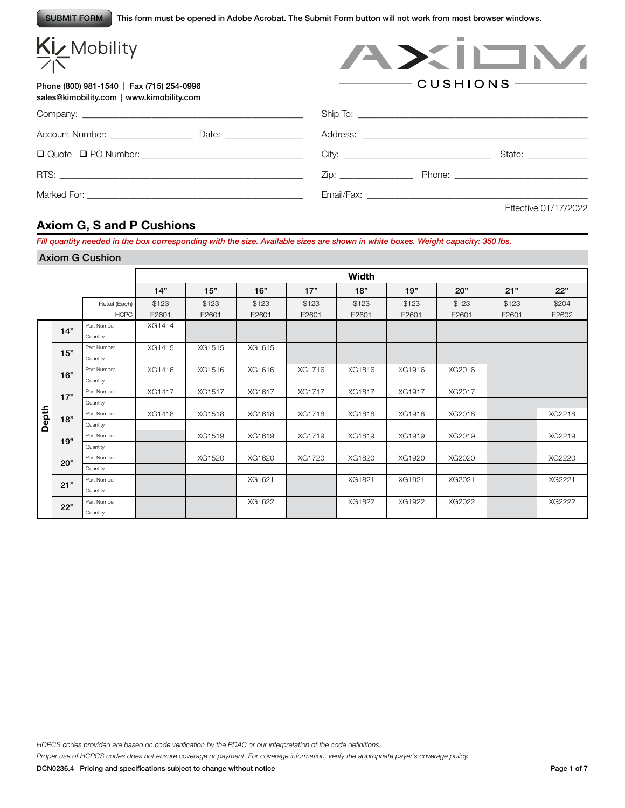This form must be opened in Adobe Acrobat. The Submit Form button will not work from most browser windows. SUBMIT FORM

| Kiz Mobility                                                                           |                       | 74 > ILIN                                                                                                                                                                                                                      |
|----------------------------------------------------------------------------------------|-----------------------|--------------------------------------------------------------------------------------------------------------------------------------------------------------------------------------------------------------------------------|
| Phone (800) 981-1540   Fax (715) 254-0996<br>sales@kimobility.com   www.kimobility.com |                       |                                                                                                                                                                                                                                |
|                                                                                        |                       |                                                                                                                                                                                                                                |
|                                                                                        |                       |                                                                                                                                                                                                                                |
|                                                                                        |                       | State: The State of the State of the State of the State of the State of the State of the State of the State of the State of the State of the State of the State of the State of the State of the State of the State of the Sta |
|                                                                                        | Zip: ________________ |                                                                                                                                                                                                                                |
|                                                                                        |                       | Email/Fax: The contract of the contract of the contract of the contract of the contract of the contract of the contract of the contract of the contract of the contract of the contract of the contract of the contract of the |
|                                                                                        |                       | Effective 01/17/2022                                                                                                                                                                                                           |

# **Axiom G, S and P Cushions**

*Fill quantity needed in the box corresponding with the size. Available sizes are shown in white boxes. Weight capacity: 350 lbs.*

#### Axiom G Cushion

|       |     |               |               |        |        |        | Width  |        |        |       |        |
|-------|-----|---------------|---------------|--------|--------|--------|--------|--------|--------|-------|--------|
|       |     |               | 14"           | 15"    | 16"    | 17"    | 18"    | 19"    | 20"    | 21"   | 22"    |
|       |     | Retail (Each) | \$123         | \$123  | \$123  | \$123  | \$123  | \$123  | \$123  | \$123 | \$204  |
|       |     | <b>HCPC</b>   | E2601         | E2601  | E2601  | E2601  | E2601  | E2601  | E2601  | E2601 | E2602  |
|       | 14" | Part Number   | XG1414        |        |        |        |        |        |        |       |        |
|       |     | Quantity      |               |        |        |        |        |        |        |       |        |
|       | 15" | Part Number   | XG1415        | XG1515 | XG1615 |        |        |        |        |       |        |
|       |     | Quantity      |               |        |        |        |        |        |        |       |        |
|       | 16" | Part Number   | XG1416        | XG1516 | XG1616 | XG1716 | XG1816 | XG1916 | XG2016 |       |        |
|       |     | Quantity      |               |        |        |        |        |        |        |       |        |
|       | 17" | Part Number   | <b>XG1417</b> | XG1517 | XG1617 | XG1717 | XG1817 | XG1917 | XG2017 |       |        |
|       |     | Quantity      |               |        |        |        |        |        |        |       |        |
| Depth | 18" | Part Number   | XG1418        | XG1518 | XG1618 | XG1718 | XG1818 | XG1918 | XG2018 |       | XG2218 |
|       |     | Quantity      |               |        |        |        |        |        |        |       |        |
|       |     | Part Number   |               | XG1519 | XG1619 | XG1719 | XG1819 | XG1919 | XG2019 |       | XG2219 |
|       | 19" | Quantity      |               |        |        |        |        |        |        |       |        |
|       | 20" | Part Number   |               | XG1520 | XG1620 | XG1720 | XG1820 | XG1920 | XG2020 |       | XG2220 |
|       |     | Quantity      |               |        |        |        |        |        |        |       |        |
|       |     | Part Number   |               |        | XG1621 |        | XG1821 | XG1921 | XG2021 |       | XG2221 |
|       | 21" | Quantity      |               |        |        |        |        |        |        |       |        |
|       |     | Part Number   |               |        | XG1622 |        | XG1822 | XG1922 | XG2022 |       | XG2222 |
|       | 22" | Quantity      |               |        |        |        |        |        |        |       |        |

*HCPCS codes provided are based on code verification by the PDAC or our interpretation of the code definitions.*

*Proper use of HCPCS codes does not ensure coverage or payment. For coverage information, verify the appropriate payer's coverage policy.*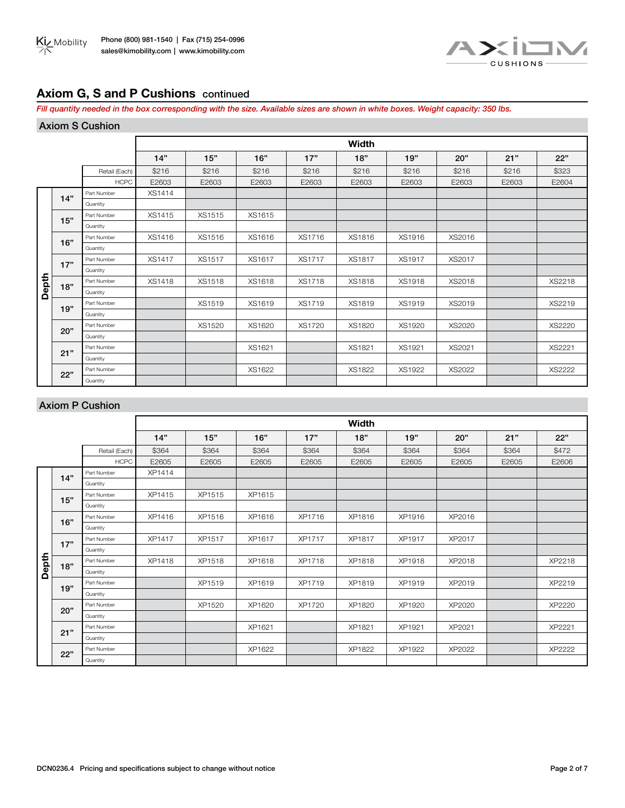



# **Axiom G, S and P Cushions** continued

*Fill quantity needed in the box corresponding with the size. Available sizes are shown in white boxes. Weight capacity: 350 lbs.*

#### Axiom S Cushion

|       |     |               |               |        |        |               | Width         |        |        |       |        |
|-------|-----|---------------|---------------|--------|--------|---------------|---------------|--------|--------|-------|--------|
|       |     |               | 14"           | 15"    | 16"    | 17"           | 18"           | 19"    | 20"    | 21"   | 22"    |
|       |     | Retail (Each) | \$216         | \$216  | \$216  | \$216         | \$216         | \$216  | \$216  | \$216 | \$323  |
|       |     | <b>HCPC</b>   | E2603         | E2603  | E2603  | E2603         | E2603         | E2603  | E2603  | E2603 | E2604  |
|       | 14" | Part Number   | XS1414        |        |        |               |               |        |        |       |        |
|       |     | Quantity      |               |        |        |               |               |        |        |       |        |
|       | 15" | Part Number   | XS1415        | XS1515 | XS1615 |               |               |        |        |       |        |
|       |     | Quantity      |               |        |        |               |               |        |        |       |        |
|       | 16" | Part Number   | XS1416        | XS1516 | XS1616 | XS1716        | XS1816        | XS1916 | XS2016 |       |        |
|       |     | Quantity      |               |        |        |               |               |        |        |       |        |
|       | 17" | Part Number   | <b>XS1417</b> | XS1517 | XS1617 | <b>XS1717</b> | <b>XS1817</b> | XS1917 | XS2017 |       |        |
|       |     | Quantity      |               |        |        |               |               |        |        |       |        |
| Depth | 18" | Part Number   | <b>XS1418</b> | XS1518 | XS1618 | <b>XS1718</b> | XS1818        | XS1918 | XS2018 |       | XS2218 |
|       |     | Quantity      |               |        |        |               |               |        |        |       |        |
|       | 19" | Part Number   |               | XS1519 | XS1619 | XS1719        | XS1819        | XS1919 | XS2019 |       | XS2219 |
|       |     | Quantity      |               |        |        |               |               |        |        |       |        |
|       | 20" | Part Number   |               | XS1520 | XS1620 | <b>XS1720</b> | XS1820        | XS1920 | XS2020 |       | XS2220 |
|       |     | Quantity      |               |        |        |               |               |        |        |       |        |
|       | 21" | Part Number   |               |        | XS1621 |               | XS1821        | XS1921 | XS2021 |       | XS2221 |
|       |     | Quantity      |               |        |        |               |               |        |        |       |        |
|       | 22" | Part Number   |               |        | XS1622 |               | XS1822        | XS1922 | XS2022 |       | XS2222 |
|       |     | Quantity      |               |        |        |               |               |        |        |       |        |

### Axiom P Cushion

|       |     |               |        |        |        |        | Width  |        |        |       |        |
|-------|-----|---------------|--------|--------|--------|--------|--------|--------|--------|-------|--------|
|       |     |               | 14"    | 15"    | 16"    | 17"    | 18"    | 19"    | 20"    | 21"   | 22"    |
|       |     | Retail (Each) | \$364  | \$364  | \$364  | \$364  | \$364  | \$364  | \$364  | \$364 | \$472  |
|       |     | <b>HCPC</b>   | E2605  | E2605  | E2605  | E2605  | E2605  | E2605  | E2605  | E2605 | E2606  |
|       | 14" | Part Number   | XP1414 |        |        |        |        |        |        |       |        |
|       |     | Quantity      |        |        |        |        |        |        |        |       |        |
|       | 15" | Part Number   | XP1415 | XP1515 | XP1615 |        |        |        |        |       |        |
|       |     | Quantity      |        |        |        |        |        |        |        |       |        |
|       | 16" | Part Number   | XP1416 | XP1516 | XP1616 | XP1716 | XP1816 | XP1916 | XP2016 |       |        |
|       |     | Quantity      |        |        |        |        |        |        |        |       |        |
|       | 17" | Part Number   | XP1417 | XP1517 | XP1617 | XP1717 | XP1817 | XP1917 | XP2017 |       |        |
|       |     | Quantity      |        |        |        |        |        |        |        |       |        |
| Depth | 18" | Part Number   | XP1418 | XP1518 | XP1618 | XP1718 | XP1818 | XP1918 | XP2018 |       | XP2218 |
|       |     | Quantity      |        |        |        |        |        |        |        |       |        |
|       | 19" | Part Number   |        | XP1519 | XP1619 | XP1719 | XP1819 | XP1919 | XP2019 |       | XP2219 |
|       |     | Quantity      |        |        |        |        |        |        |        |       |        |
|       | 20" | Part Number   |        | XP1520 | XP1620 | XP1720 | XP1820 | XP1920 | XP2020 |       | XP2220 |
|       |     | Quantity      |        |        |        |        |        |        |        |       |        |
|       | 21" | Part Number   |        |        | XP1621 |        | XP1821 | XP1921 | XP2021 |       | XP2221 |
|       |     | Quantity      |        |        |        |        |        |        |        |       |        |
|       | 22" | Part Number   |        |        | XP1622 |        | XP1822 | XP1922 | XP2022 |       | XP2222 |
|       |     | Quantity      |        |        |        |        |        |        |        |       |        |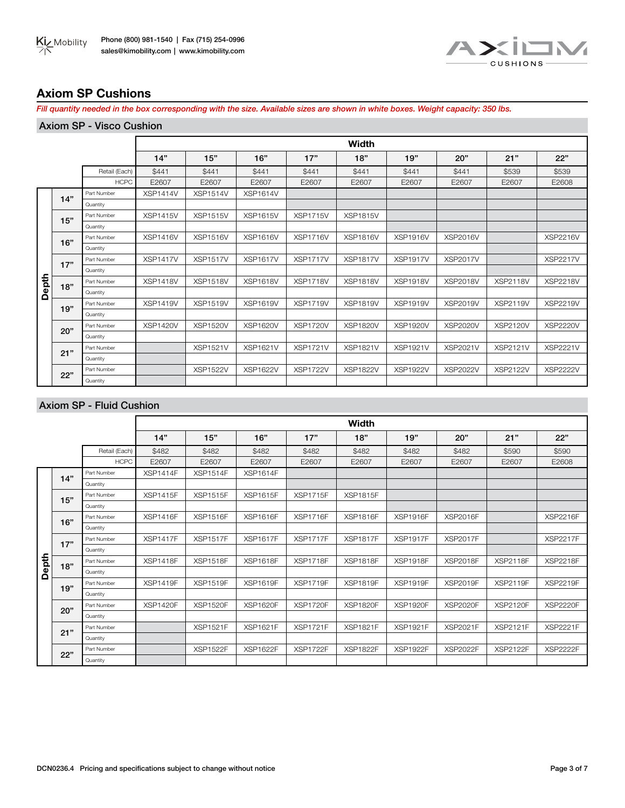



# **Axiom SP Cushions**

*Fill quantity needed in the box corresponding with the size. Available sizes are shown in white boxes. Weight capacity: 350 lbs.*

## Axiom SP - Visco Cushion

|       |     |               |                 |                 |                 |                 | Width           |                 |                 |                 |                 |
|-------|-----|---------------|-----------------|-----------------|-----------------|-----------------|-----------------|-----------------|-----------------|-----------------|-----------------|
|       |     |               | 14"             | 15"             | 16"             | 17"             | 18"             | 19"             | 20"             | 21"             | 22"             |
|       |     | Retail (Each) | \$441           | \$441           | \$441           | \$441           | \$441           | \$441           | \$441           | \$539           | \$539           |
|       |     | <b>HCPC</b>   | E2607           | E2607           | E2607           | E2607           | E2607           | E2607           | E2607           | E2607           | E2608           |
|       | 14" | Part Number   | <b>XSP1414V</b> | <b>XSP1514V</b> | <b>XSP1614V</b> |                 |                 |                 |                 |                 |                 |
|       |     | Quantity      |                 |                 |                 |                 |                 |                 |                 |                 |                 |
|       | 15" | Part Number   | <b>XSP1415V</b> | <b>XSP1515V</b> | <b>XSP1615V</b> | <b>XSP1715V</b> | <b>XSP1815V</b> |                 |                 |                 |                 |
|       |     | Quantity      |                 |                 |                 |                 |                 |                 |                 |                 |                 |
|       | 16" | Part Number   | <b>XSP1416V</b> | <b>XSP1516V</b> | <b>XSP1616V</b> | <b>XSP1716V</b> | <b>XSP1816V</b> | <b>XSP1916V</b> | <b>XSP2016V</b> |                 | <b>XSP2216V</b> |
|       |     | Quantity      |                 |                 |                 |                 |                 |                 |                 |                 |                 |
|       | 17" | Part Number   | <b>XSP1417V</b> | <b>XSP1517V</b> | <b>XSP1617V</b> | <b>XSP1717V</b> | <b>XSP1817V</b> | <b>XSP1917V</b> | <b>XSP2017V</b> |                 | <b>XSP2217V</b> |
|       |     | Quantity      |                 |                 |                 |                 |                 |                 |                 |                 |                 |
| Depth | 18" | Part Number   | <b>XSP1418V</b> | <b>XSP1518V</b> | <b>XSP1618V</b> | <b>XSP1718V</b> | <b>XSP1818V</b> | <b>XSP1918V</b> | <b>XSP2018V</b> | <b>XSP2118V</b> | <b>XSP2218V</b> |
|       |     | Quantity      |                 |                 |                 |                 |                 |                 |                 |                 |                 |
|       | 19" | Part Number   | <b>XSP1419V</b> | <b>XSP1519V</b> | <b>XSP1619V</b> | <b>XSP1719V</b> | <b>XSP1819V</b> | <b>XSP1919V</b> | <b>XSP2019V</b> | <b>XSP2119V</b> | <b>XSP2219V</b> |
|       |     | Quantity      |                 |                 |                 |                 |                 |                 |                 |                 |                 |
|       | 20" | Part Number   | <b>XSP1420V</b> | <b>XSP1520V</b> | <b>XSP1620V</b> | <b>XSP1720V</b> | <b>XSP1820V</b> | <b>XSP1920V</b> | <b>XSP2020V</b> | <b>XSP2120V</b> | <b>XSP2220V</b> |
|       |     | Quantity      |                 |                 |                 |                 |                 |                 |                 |                 |                 |
|       | 21" | Part Number   |                 | <b>XSP1521V</b> | <b>XSP1621V</b> | <b>XSP1721V</b> | <b>XSP1821V</b> | <b>XSP1921V</b> | <b>XSP2021V</b> | <b>XSP2121V</b> | <b>XSP2221V</b> |
|       |     | Quantity      |                 |                 |                 |                 |                 |                 |                 |                 |                 |
|       | 22" | Part Number   |                 | <b>XSP1522V</b> | <b>XSP1622V</b> | <b>XSP1722V</b> | <b>XSP1822V</b> | <b>XSP1922V</b> | <b>XSP2022V</b> | <b>XSP2122V</b> | <b>XSP2222V</b> |
|       |     | Quantity      |                 |                 |                 |                 |                 |                 |                 |                 |                 |

### Axiom SP - Fluid Cushion

|       |     |               |                 |                 |                 |                 | Width           |                 |                 |                 |                 |
|-------|-----|---------------|-----------------|-----------------|-----------------|-----------------|-----------------|-----------------|-----------------|-----------------|-----------------|
|       |     |               | 14"             | 15"             | 16"             | 17"             | 18"             | 19"             | 20"             | 21"             | 22"             |
|       |     | Retail (Each) | \$482           | \$482           | \$482           | \$482           | \$482           | \$482           | \$482           | \$590           | \$590           |
|       |     | <b>HCPC</b>   | E2607           | E2607           | E2607           | E2607           | E2607           | E2607           | E2607           | E2607           | E2608           |
|       | 14" | Part Number   | <b>XSP1414F</b> | <b>XSP1514F</b> | XSP1614F        |                 |                 |                 |                 |                 |                 |
|       |     | Quantity      |                 |                 |                 |                 |                 |                 |                 |                 |                 |
|       | 15" | Part Number   | <b>XSP1415F</b> | <b>XSP1515F</b> | <b>XSP1615F</b> | <b>XSP1715F</b> | <b>XSP1815F</b> |                 |                 |                 |                 |
|       |     | Quantity      |                 |                 |                 |                 |                 |                 |                 |                 |                 |
|       | 16" | Part Number   | <b>XSP1416F</b> | <b>XSP1516F</b> | <b>XSP1616F</b> | <b>XSP1716F</b> | <b>XSP1816F</b> | <b>XSP1916F</b> | <b>XSP2016F</b> |                 | <b>XSP2216F</b> |
|       |     | Quantity      |                 |                 |                 |                 |                 |                 |                 |                 |                 |
|       | 17" | Part Number   | <b>XSP1417F</b> | <b>XSP1517F</b> | <b>XSP1617F</b> | <b>XSP1717F</b> | <b>XSP1817F</b> | <b>XSP1917F</b> | <b>XSP2017F</b> |                 | <b>XSP2217F</b> |
|       |     | Quantity      |                 |                 |                 |                 |                 |                 |                 |                 |                 |
| Depth | 18" | Part Number   | <b>XSP1418F</b> | <b>XSP1518F</b> | <b>XSP1618F</b> | <b>XSP1718F</b> | <b>XSP1818F</b> | <b>XSP1918F</b> | <b>XSP2018F</b> | <b>XSP2118F</b> | <b>XSP2218F</b> |
|       |     | Quantity      |                 |                 |                 |                 |                 |                 |                 |                 |                 |
|       | 19" | Part Number   | <b>XSP1419F</b> | <b>XSP1519F</b> | <b>XSP1619F</b> | XSP1719F        | <b>XSP1819F</b> | <b>XSP1919F</b> | <b>XSP2019F</b> | <b>XSP2119F</b> | <b>XSP2219F</b> |
|       |     | Quantity      |                 |                 |                 |                 |                 |                 |                 |                 |                 |
|       | 20" | Part Number   | XSP1420F        | <b>XSP1520F</b> | <b>XSP1620F</b> | XSP1720F        | XSP1820F        | <b>XSP1920F</b> | <b>XSP2020F</b> | <b>XSP2120F</b> | <b>XSP2220F</b> |
|       |     | Quantity      |                 |                 |                 |                 |                 |                 |                 |                 |                 |
|       | 21" | Part Number   |                 | <b>XSP1521F</b> | <b>XSP1621F</b> | <b>XSP1721F</b> | <b>XSP1821F</b> | <b>XSP1921F</b> | <b>XSP2021F</b> | <b>XSP2121F</b> | <b>XSP2221F</b> |
|       |     | Quantity      |                 |                 |                 |                 |                 |                 |                 |                 |                 |
|       | 22" | Part Number   |                 | <b>XSP1522F</b> | <b>XSP1622F</b> | XSP1722F        | <b>XSP1822F</b> | <b>XSP1922F</b> | <b>XSP2022F</b> | <b>XSP2122F</b> | <b>XSP2222F</b> |
|       |     | Quantity      |                 |                 |                 |                 |                 |                 |                 |                 |                 |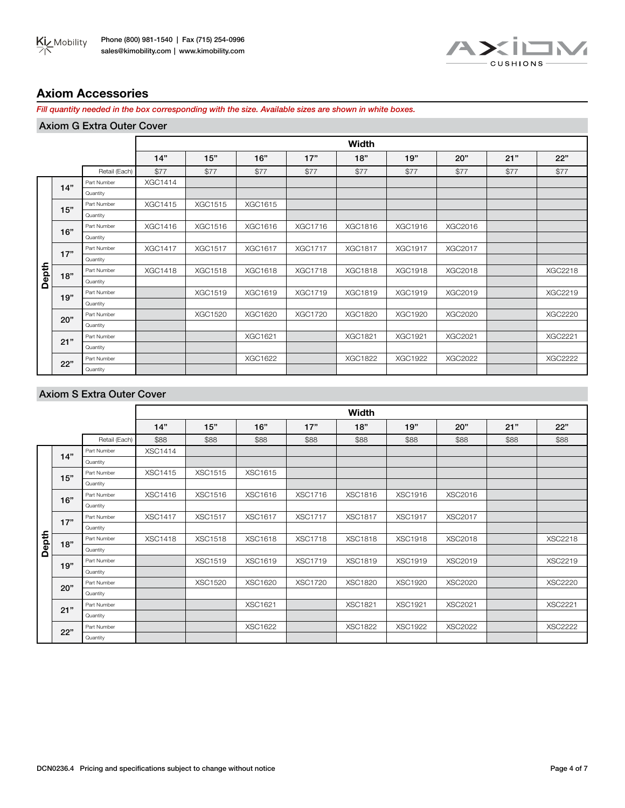



## **Axiom Accessories**

*Fill quantity needed in the box corresponding with the size. Available sizes are shown in white boxes.*

#### Axiom G Extra Outer Cover

|       |          |               |                |                |                |                | <b>Width</b>   |                |                |      |                |
|-------|----------|---------------|----------------|----------------|----------------|----------------|----------------|----------------|----------------|------|----------------|
|       |          |               | 14"            | 15"            | 16"            | 17"            | 18"            | 19"            | 20"            | 21"  | 22"            |
|       |          | Retail (Each) | \$77           | \$77           | \$77           | \$77           | \$77           | \$77           | \$77           | \$77 | \$77           |
|       | 14"      | Part Number   | <b>XGC1414</b> |                |                |                |                |                |                |      |                |
|       |          | Quantity      |                |                |                |                |                |                |                |      |                |
|       | 15"      | Part Number   | <b>XGC1415</b> | <b>XGC1515</b> | <b>XGC1615</b> |                |                |                |                |      |                |
|       |          | Quantity      |                |                |                |                |                |                |                |      |                |
|       | 16"      | Part Number   | <b>XGC1416</b> | XGC1516        | XGC1616        | <b>XGC1716</b> | XGC1816        | XGC1916        | XGC2016        |      |                |
|       |          | Quantity      |                |                |                |                |                |                |                |      |                |
|       | 17"      | Part Number   | <b>XGC1417</b> | <b>XGC1517</b> | <b>XGC1617</b> | <b>XGC1717</b> | <b>XGC1817</b> | <b>XGC1917</b> | <b>XGC2017</b> |      |                |
|       |          | Quantity      |                |                |                |                |                |                |                |      |                |
| Depth | 18"      | Part Number   | <b>XGC1418</b> | <b>XGC1518</b> | <b>XGC1618</b> | <b>XGC1718</b> | <b>XGC1818</b> | <b>XGC1918</b> | <b>XGC2018</b> |      | <b>XGC2218</b> |
|       |          | Quantity      |                |                |                |                |                |                |                |      |                |
|       | 19"      | Part Number   |                | <b>XGC1519</b> | <b>XGC1619</b> | <b>XGC1719</b> | <b>XGC1819</b> | <b>XGC1919</b> | <b>XGC2019</b> |      | <b>XGC2219</b> |
|       |          | Quantity      |                |                |                |                |                |                |                |      |                |
|       |          | Part Number   |                | XGC1520        | XGC1620        | <b>XGC1720</b> | <b>XGC1820</b> | XGC1920        | <b>XGC2020</b> |      | <b>XGC2220</b> |
|       | 20"      | Quantity      |                |                |                |                |                |                |                |      |                |
|       | 21"      | Part Number   |                |                | XGC1621        |                | <b>XGC1821</b> | <b>XGC1921</b> | <b>XGC2021</b> |      | <b>XGC2221</b> |
|       |          | Quantity      |                |                |                |                |                |                |                |      |                |
|       |          | Part Number   |                |                | XGC1622        |                | <b>XGC1822</b> | <b>XGC1922</b> | <b>XGC2022</b> |      | <b>XGC2222</b> |
| 22"   | Quantity |               |                |                |                |                |                |                |                |      |                |

### Axiom S Extra Outer Cover

|       |          |               |                |                |                |                | <b>Width</b>   |                |                |      |                |
|-------|----------|---------------|----------------|----------------|----------------|----------------|----------------|----------------|----------------|------|----------------|
|       |          |               | 14"            | 15"            | 16"            | 17"            | 18"            | 19"            | 20"            | 21"  | 22"            |
|       |          | Retail (Each) | \$88           | \$88           | \$88           | \$88           | \$88           | \$88           | \$88           | \$88 | \$88           |
|       | 14"      | Part Number   | <b>XSC1414</b> |                |                |                |                |                |                |      |                |
|       |          | Quantity      |                |                |                |                |                |                |                |      |                |
|       | 15"      | Part Number   | <b>XSC1415</b> | <b>XSC1515</b> | <b>XSC1615</b> |                |                |                |                |      |                |
|       |          | Quantity      |                |                |                |                |                |                |                |      |                |
|       | 16"      | Part Number   | <b>XSC1416</b> | XSC1516        | XSC1616        | <b>XSC1716</b> | <b>XSC1816</b> | <b>XSC1916</b> | XSC2016        |      |                |
|       |          | Quantity      |                |                |                |                |                |                |                |      |                |
|       | 17"      | Part Number   | <b>XSC1417</b> | <b>XSC1517</b> | <b>XSC1617</b> | <b>XSC1717</b> | <b>XSC1817</b> | <b>XSC1917</b> | <b>XSC2017</b> |      |                |
|       |          | Quantity      |                |                |                |                |                |                |                |      |                |
| Depth | 18"      | Part Number   | <b>XSC1418</b> | <b>XSC1518</b> | <b>XSC1618</b> | <b>XSC1718</b> | <b>XSC1818</b> | <b>XSC1918</b> | <b>XSC2018</b> |      | <b>XSC2218</b> |
|       |          | Quantity      |                |                |                |                |                |                |                |      |                |
|       | 19"      | Part Number   |                | <b>XSC1519</b> | <b>XSC1619</b> | <b>XSC1719</b> | <b>XSC1819</b> | <b>XSC1919</b> | <b>XSC2019</b> |      | <b>XSC2219</b> |
|       |          | Quantity      |                |                |                |                |                |                |                |      |                |
|       |          | Part Number   |                | <b>XSC1520</b> | <b>XSC1620</b> | <b>XSC1720</b> | <b>XSC1820</b> | <b>XSC1920</b> | <b>XSC2020</b> |      | <b>XSC2220</b> |
|       | 20"      | Quantity      |                |                |                |                |                |                |                |      |                |
|       | 21"      | Part Number   |                |                | XSC1621        |                | <b>XSC1821</b> | <b>XSC1921</b> | <b>XSC2021</b> |      | <b>XSC2221</b> |
|       |          | Quantity      |                |                |                |                |                |                |                |      |                |
|       |          | Part Number   |                |                | <b>XSC1622</b> |                | <b>XSC1822</b> | <b>XSC1922</b> | <b>XSC2022</b> |      | <b>XSC2222</b> |
| 22"   | Quantity |               |                |                |                |                |                |                |                |      |                |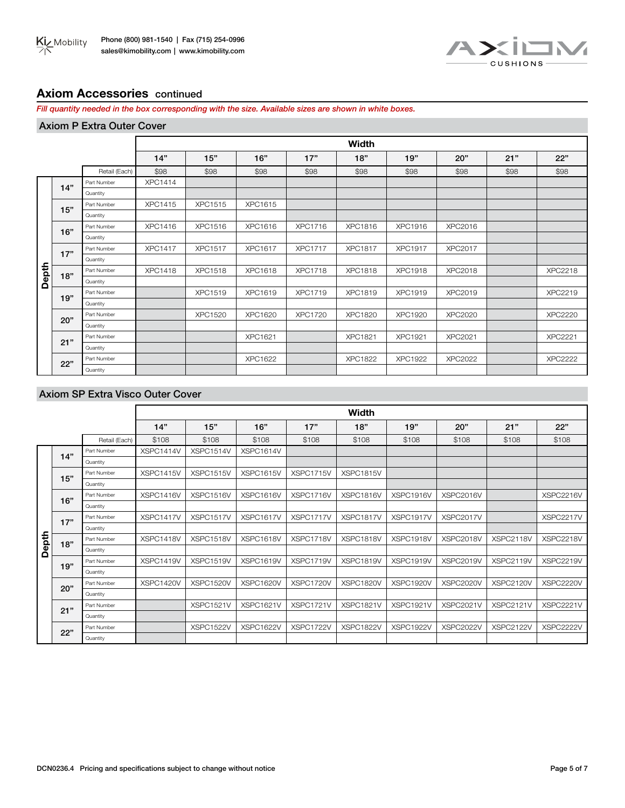



## **Axiom Accessories** continued

*Fill quantity needed in the box corresponding with the size. Available sizes are shown in white boxes.*

#### Axiom P Extra Outer Cover

|            |          |               |                |                |                |                | <b>Width</b>   |                |                |      |                |
|------------|----------|---------------|----------------|----------------|----------------|----------------|----------------|----------------|----------------|------|----------------|
|            |          |               | 14"            | 15"            | 16"            | 17"            | 18"            | 19"            | 20"            | 21"  | 22"            |
|            |          | Retail (Each) | \$98           | \$98           | \$98           | \$98           | \$98           | \$98           | \$98           | \$98 | \$98           |
|            | 14"      | Part Number   | <b>XPC1414</b> |                |                |                |                |                |                |      |                |
|            |          | Quantity      |                |                |                |                |                |                |                |      |                |
|            | 15"      | Part Number   | <b>XPC1415</b> | <b>XPC1515</b> | XPC1615        |                |                |                |                |      |                |
|            |          | Quantity      |                |                |                |                |                |                |                |      |                |
|            |          | Part Number   | <b>XPC1416</b> | <b>XPC1516</b> | XPC1616        | <b>XPC1716</b> | <b>XPC1816</b> | XPC1916        | XPC2016        |      |                |
| 16"<br>17" |          | Quantity      |                |                |                |                |                |                |                |      |                |
|            |          | Part Number   | <b>XPC1417</b> | <b>XPC1517</b> | <b>XPC1617</b> | <b>XPC1717</b> | <b>XPC1817</b> | <b>XPC1917</b> | <b>XPC2017</b> |      |                |
|            |          | Quantity      |                |                |                |                |                |                |                |      |                |
| Depth      | 18"      | Part Number   | <b>XPC1418</b> | <b>XPC1518</b> | <b>XPC1618</b> | <b>XPC1718</b> | <b>XPC1818</b> | <b>XPC1918</b> | <b>XPC2018</b> |      | <b>XPC2218</b> |
|            |          | Quantity      |                |                |                |                |                |                |                |      |                |
|            | 19"      | Part Number   |                | <b>XPC1519</b> | XPC1619        | <b>XPC1719</b> | <b>XPC1819</b> | <b>XPC1919</b> | XPC2019        |      | <b>XPC2219</b> |
|            |          | Quantity      |                |                |                |                |                |                |                |      |                |
|            | 20"      | Part Number   |                | <b>XPC1520</b> | <b>XPC1620</b> | <b>XPC1720</b> | <b>XPC1820</b> | <b>XPC1920</b> | <b>XPC2020</b> |      | <b>XPC2220</b> |
|            |          | Quantity      |                |                |                |                |                |                |                |      |                |
|            | 21"      | Part Number   |                |                | <b>XPC1621</b> |                | <b>XPC1821</b> | <b>XPC1921</b> | <b>XPC2021</b> |      | <b>XPC2221</b> |
|            |          | Quantity      |                |                |                |                |                |                |                |      |                |
|            |          | Part Number   |                |                | <b>XPC1622</b> |                | <b>XPC1822</b> | <b>XPC1922</b> | <b>XPC2022</b> |      | <b>XPC2222</b> |
| 22"        | Quantity |               |                |                |                |                |                |                |                |      |                |

## Axiom SP Extra Visco Outer Cover

|            |          |               |           |           |           |           | Width            |           |           |           |           |
|------------|----------|---------------|-----------|-----------|-----------|-----------|------------------|-----------|-----------|-----------|-----------|
|            |          |               | 14"       | 15"       | 16"       | 17"       | 18"              | 19"       | 20"       | 21"       | 22"       |
|            |          | Retail (Each) | \$108     | \$108     | \$108     | \$108     | \$108            | \$108     | \$108     | \$108     | \$108     |
|            | 14"      | Part Number   | XSPC1414V | XSPC1514V | XSPC1614V |           |                  |           |           |           |           |
|            |          | Quantity      |           |           |           |           |                  |           |           |           |           |
|            | 15"      | Part Number   | XSPC1415V | XSPC1515V | XSPC1615V | XSPC1715V | XSPC1815V        |           |           |           |           |
| 16"<br>17" |          | Quantity      |           |           |           |           |                  |           |           |           |           |
|            |          | Part Number   | XSPC1416V | XSPC1516V | XSPC1616V | XSPC1716V | XSPC1816V        | XSPC1916V | XSPC2016V |           | XSPC2216V |
|            |          | Quantity      |           |           |           |           |                  |           |           |           |           |
| Depth      |          | Part Number   | XSPC1417V | XSPC1517V | XSPC1617V | XSPC1717V | XSPC1817V        | XSPC1917V | XSPC2017V |           | XSPC2217V |
|            |          | Quantity      |           |           |           |           |                  |           |           |           |           |
|            | 18"      | Part Number   | XSPC1418V | XSPC1518V | XSPC1618V | XSPC1718V | XSPC1818V        | XSPC1918V | XSPC2018V | XSPC2118V | XSPC2218V |
|            |          | Quantity      |           |           |           |           |                  |           |           |           |           |
|            | 19"      | Part Number   | XSPC1419V | XSPC1519V | XSPC1619V | XSPC1719V | XSPC1819V        | XSPC1919V | XSPC2019V | XSPC2119V | XSPC2219V |
|            |          | Quantity      |           |           |           |           |                  |           |           |           |           |
|            |          | Part Number   | XSPC1420V | XSPC1520V | XSPC1620V | XSPC1720V | <b>XSPC1820V</b> | XSPC1920V | XSPC2020V | XSPC2120V | XSPC2220V |
|            | 20"      | Quantity      |           |           |           |           |                  |           |           |           |           |
|            | 21"      | Part Number   |           | XSPC1521V | XSPC1621V | XSPC1721V | XSPC1821V        | XSPC1921V | XSPC2021V | XSPC2121V | XSPC2221V |
|            |          | Quantity      |           |           |           |           |                  |           |           |           |           |
|            |          | Part Number   |           | XSPC1522V | XSPC1622V | XSPC1722V | XSPC1822V        | XSPC1922V | XSPC2022V | XSPC2122V | XSPC2222V |
| 22"        | Quantity |               |           |           |           |           |                  |           |           |           |           |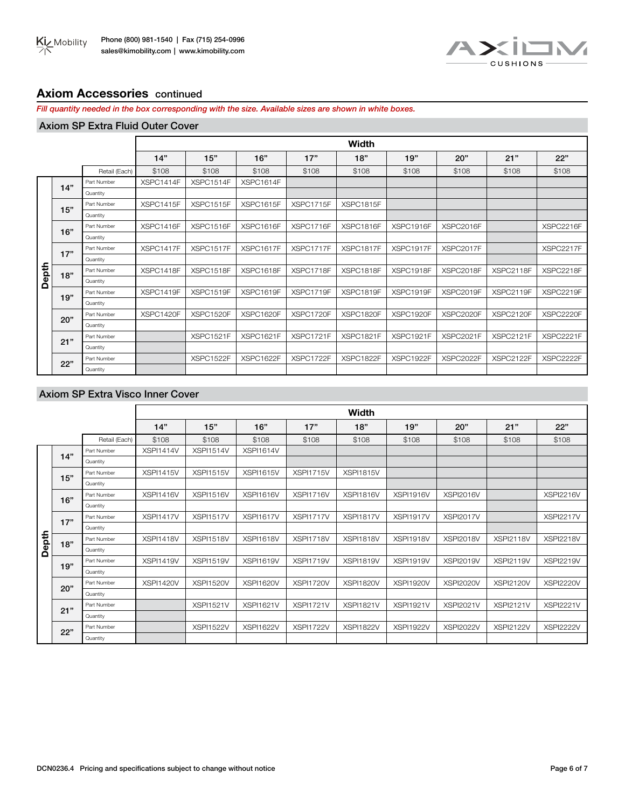



# **Axiom Accessories** continued

*Fill quantity needed in the box corresponding with the size. Available sizes are shown in white boxes.*

#### Axiom SP Extra Fluid Outer Cover

|       |     |               |           |           |           |           | Width     |           |           |           |           |
|-------|-----|---------------|-----------|-----------|-----------|-----------|-----------|-----------|-----------|-----------|-----------|
|       |     |               | 14"       | 15"       | 16"       | 17"       | 18"       | 19"       | 20"       | 21"       | 22"       |
|       |     | Retail (Each) | \$108     | \$108     | \$108     | \$108     | \$108     | \$108     | \$108     | \$108     | \$108     |
|       | 14" | Part Number   | XSPC1414F | XSPC1514F | XSPC1614F |           |           |           |           |           |           |
|       |     | Quantity      |           |           |           |           |           |           |           |           |           |
|       | 15" | Part Number   | XSPC1415F | XSPC1515F | XSPC1615F | XSPC1715F | XSPC1815F |           |           |           |           |
|       |     | Quantity      |           |           |           |           |           |           |           |           |           |
|       | 16" | Part Number   | XSPC1416F | XSPC1516F | XSPC1616F | XSPC1716F | XSPC1816F | XSPC1916F | XSPC2016F |           | XSPC2216F |
|       |     | Quantity      |           |           |           |           |           |           |           |           |           |
|       | 17" | Part Number   | XSPC1417F | XSPC1517F | XSPC1617F | XSPC1717F | XSPC1817F | XSPC1917F | XSPC2017F |           | XSPC2217F |
|       |     | Quantity      |           |           |           |           |           |           |           |           |           |
| Depth | 18" | Part Number   | XSPC1418F | XSPC1518F | XSPC1618F | XSPC1718F | XSPC1818F | XSPC1918F | XSPC2018F | XSPC2118F | XSPC2218F |
|       |     | Quantity      |           |           |           |           |           |           |           |           |           |
|       | 19" | Part Number   | XSPC1419F | XSPC1519F | XSPC1619F | XSPC1719F | XSPC1819F | XSPC1919F | XSPC2019F | XSPC2119F | XSPC2219F |
|       |     | Quantity      |           |           |           |           |           |           |           |           |           |
|       | 20" | Part Number   | XSPC1420F | XSPC1520F | XSPC1620F | XSPC1720F | XSPC1820F | XSPC1920F | XSPC2020F | XSPC2120F | XSPC2220F |
|       |     | Quantity      |           |           |           |           |           |           |           |           |           |
|       | 21" | Part Number   |           | XSPC1521F | XSPC1621F | XSPC1721F | XSPC1821F | XSPC1921F | XSPC2021F | XSPC2121F | XSPC2221F |
|       |     | Quantity      |           |           |           |           |           |           |           |           |           |
|       |     | Part Number   |           | XSPC1522F | XSPC1622F | XSPC1722F | XSPC1822F | XSPC1922F | XSPC2022F | XSPC2122F | XSPC2222F |
| 22"   |     | Quantity      |           |           |           |           |           |           |           |           |           |

## Axiom SP Extra Visco Inner Cover

|                   |          |               |                  |                  |                  |           | Width            |                  |                  |                  |                  |
|-------------------|----------|---------------|------------------|------------------|------------------|-----------|------------------|------------------|------------------|------------------|------------------|
|                   |          |               | 14"              | 15"              | 16"              | 17"       | 18"              | 19"              | 20"              | 21"              | 22"              |
|                   |          | Retail (Each) | \$108            | \$108            | \$108            | \$108     | \$108            | \$108            | \$108            | \$108            | \$108            |
|                   | 14"      | Part Number   | <b>XSPI1414V</b> | <b>XSPI1514V</b> | <b>XSPI1614V</b> |           |                  |                  |                  |                  |                  |
|                   |          | Quantity      |                  |                  |                  |           |                  |                  |                  |                  |                  |
|                   |          | Part Number   | <b>XSPI1415V</b> | <b>XSPI1515V</b> | <b>XSPI1615V</b> | XSPI1715V | <b>XSPI1815V</b> |                  |                  |                  |                  |
| 15"<br>16"<br>17" | Quantity |               |                  |                  |                  |           |                  |                  |                  |                  |                  |
|                   |          | Part Number   | <b>XSPI1416V</b> | <b>XSPI1516V</b> | XSPI1616V        | XSPI1716V | XSPI1816V        | <b>XSPI1916V</b> | <b>XSPI2016V</b> |                  | <b>XSPI2216V</b> |
|                   |          | Quantity      |                  |                  |                  |           |                  |                  |                  |                  |                  |
|                   |          | Part Number   | <b>XSPI1417V</b> | <b>XSPI1517V</b> | <b>XSPI1617V</b> | XSPI1717V | XSPI1817V        | XSPI1917V        | <b>XSPI2017V</b> |                  | <b>XSPI2217V</b> |
|                   |          | Quantity      |                  |                  |                  |           |                  |                  |                  |                  |                  |
| Depth             | 18"      | Part Number   | <b>XSPI1418V</b> | <b>XSPI1518V</b> | <b>XSPI1618V</b> | XSPI1718V | <b>XSPI1818V</b> | <b>XSPI1918V</b> | <b>XSPI2018V</b> | <b>XSPI2118V</b> | <b>XSPI2218V</b> |
|                   |          | Quantity      |                  |                  |                  |           |                  |                  |                  |                  |                  |
|                   | 19"      | Part Number   | <b>XSPI1419V</b> | <b>XSPI1519V</b> | <b>XSPI1619V</b> | XSPI1719V | <b>XSPI1819V</b> | <b>XSPI1919V</b> | <b>XSPI2019V</b> | <b>XSPI2119V</b> | <b>XSPI2219V</b> |
|                   |          | Quantity      |                  |                  |                  |           |                  |                  |                  |                  |                  |
|                   |          | Part Number   | <b>XSPI1420V</b> | XSPI1520V        | <b>XSPI1620V</b> | XSPI1720V | <b>XSPI1820V</b> | <b>XSPI1920V</b> | <b>XSPI2020V</b> | <b>XSPI2120V</b> | <b>XSPI2220V</b> |
|                   | 20"      | Quantity      |                  |                  |                  |           |                  |                  |                  |                  |                  |
|                   | 21"      | Part Number   |                  | <b>XSPI1521V</b> | <b>XSPI1621V</b> | XSPI1721V | <b>XSPI1821V</b> | <b>XSPI1921V</b> | <b>XSPI2021V</b> | <b>XSPI2121V</b> | <b>XSPI2221V</b> |
|                   |          | Quantity      |                  |                  |                  |           |                  |                  |                  |                  |                  |
|                   |          | Part Number   |                  | <b>XSPI1522V</b> | <b>XSPI1622V</b> | XSPI1722V | <b>XSPI1822V</b> | <b>XSPI1922V</b> | <b>XSPI2022V</b> | <b>XSPI2122V</b> | <b>XSPI2222V</b> |
| 22"               | Quantity |               |                  |                  |                  |           |                  |                  |                  |                  |                  |